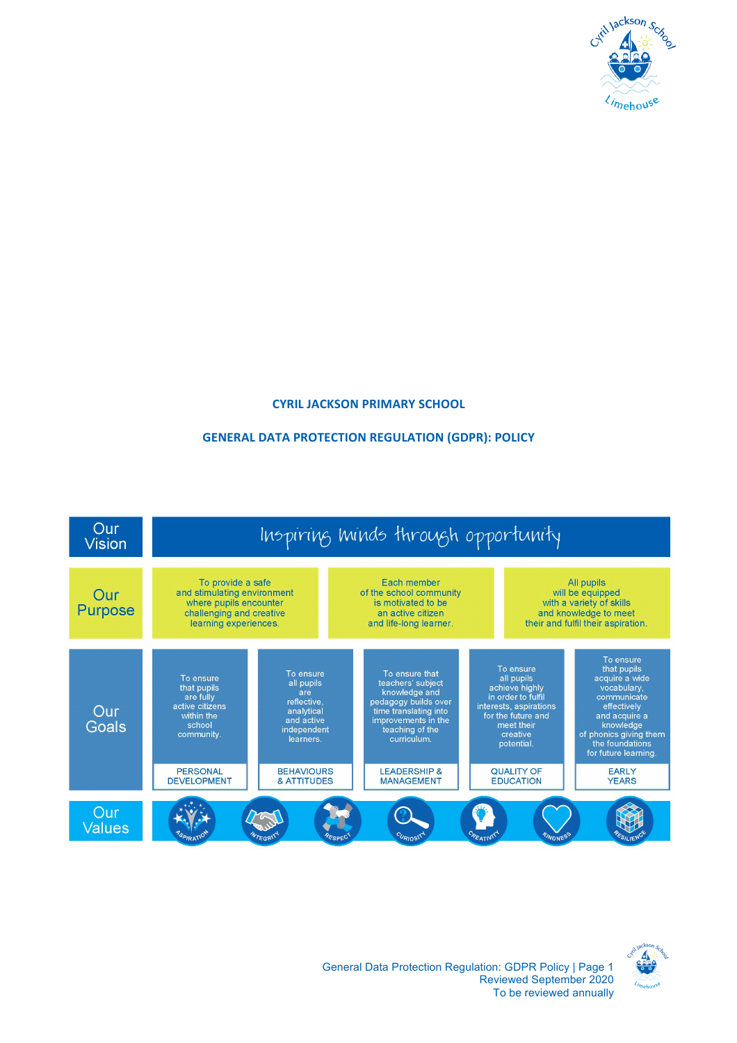

### **CYRIL JACKSON PRIMARY SCHOOL**

#### **GENERAL DATA PROTECTION REGULATION (GDPR): POLICY**



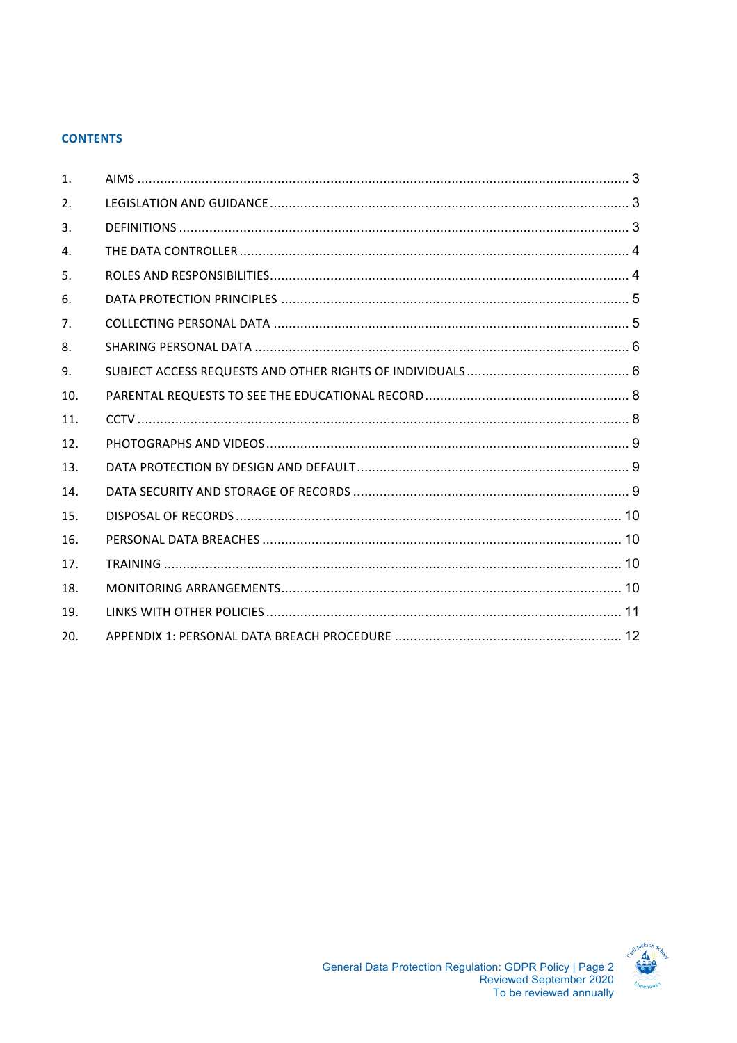### **CONTENTS**

| 1.             |  |
|----------------|--|
| 2.             |  |
| 3.             |  |
| 4.             |  |
| 5.             |  |
| 6.             |  |
| 7 <sub>1</sub> |  |
| 8.             |  |
| 9.             |  |
| 10.            |  |
| 11.            |  |
| 12.            |  |
| 13.            |  |
| 14.            |  |
| 15.            |  |
| 16.            |  |
| 17.            |  |
| 18.            |  |
| 19.            |  |
| 20.            |  |

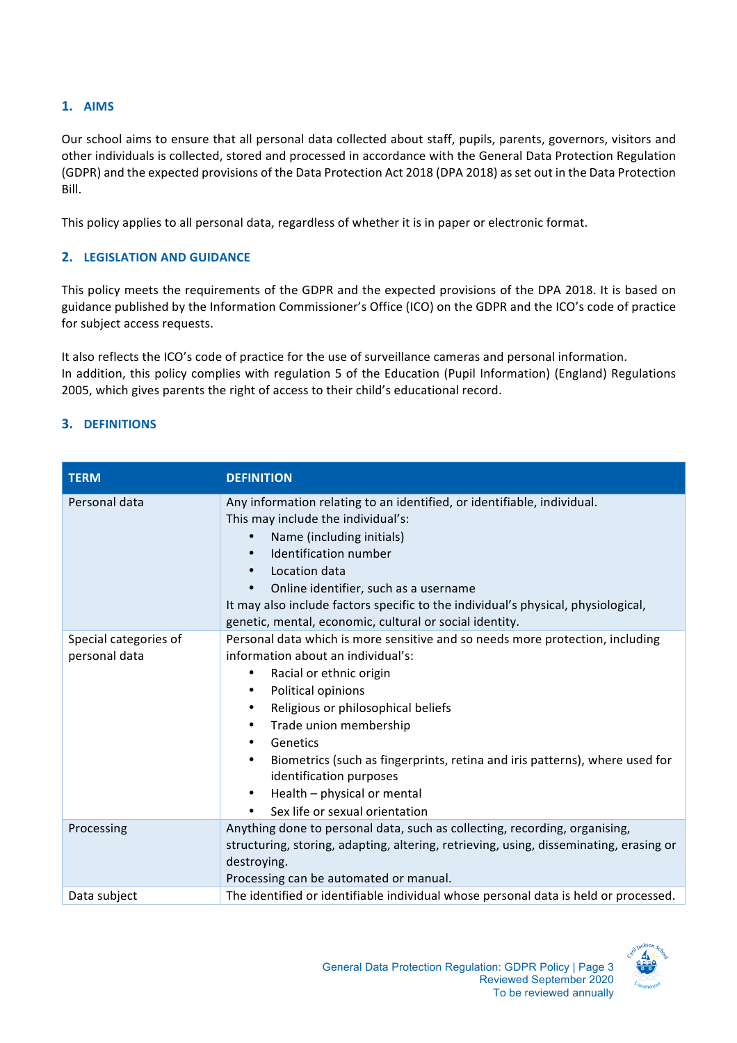# **1. AIMS**

Our school aims to ensure that all personal data collected about staff, pupils, parents, governors, visitors and other individuals is collected, stored and processed in accordance with the General Data Protection Regulation (GDPR) and the expected provisions of the Data Protection Act 2018 (DPA 2018) as set out in the Data Protection Bill. 

This policy applies to all personal data, regardless of whether it is in paper or electronic format.

## **2. LEGISLATION AND GUIDANCE**

This policy meets the requirements of the GDPR and the expected provisions of the DPA 2018. It is based on guidance published by the Information Commissioner's Office (ICO) on the GDPR and the ICO's code of practice for subject access requests.

It also reflects the ICO's code of practice for the use of surveillance cameras and personal information. In addition, this policy complies with regulation 5 of the Education (Pupil Information) (England) Regulations 2005, which gives parents the right of access to their child's educational record.

### **3. DEFINITIONS**

| <b>TERM</b>                            | <b>DEFINITION</b>                                                                                                                                                                                                                                                                                                                                                                                                                                                         |
|----------------------------------------|---------------------------------------------------------------------------------------------------------------------------------------------------------------------------------------------------------------------------------------------------------------------------------------------------------------------------------------------------------------------------------------------------------------------------------------------------------------------------|
| Personal data                          | Any information relating to an identified, or identifiable, individual.<br>This may include the individual's:<br>Name (including initials)<br>Identification number<br>Location data<br>Online identifier, such as a username<br>It may also include factors specific to the individual's physical, physiological,<br>genetic, mental, economic, cultural or social identity.                                                                                             |
| Special categories of<br>personal data | Personal data which is more sensitive and so needs more protection, including<br>information about an individual's:<br>Racial or ethnic origin<br>٠<br>Political opinions<br>٠<br>Religious or philosophical beliefs<br>Trade union membership<br>٠<br>Genetics<br>٠<br>Biometrics (such as fingerprints, retina and iris patterns), where used for<br>identification purposes<br>Health - physical or mental<br>$\bullet$<br>Sex life or sexual orientation<br>$\bullet$ |
| Processing                             | Anything done to personal data, such as collecting, recording, organising,<br>structuring, storing, adapting, altering, retrieving, using, disseminating, erasing or<br>destroying.<br>Processing can be automated or manual.                                                                                                                                                                                                                                             |
| Data subject                           | The identified or identifiable individual whose personal data is held or processed.                                                                                                                                                                                                                                                                                                                                                                                       |

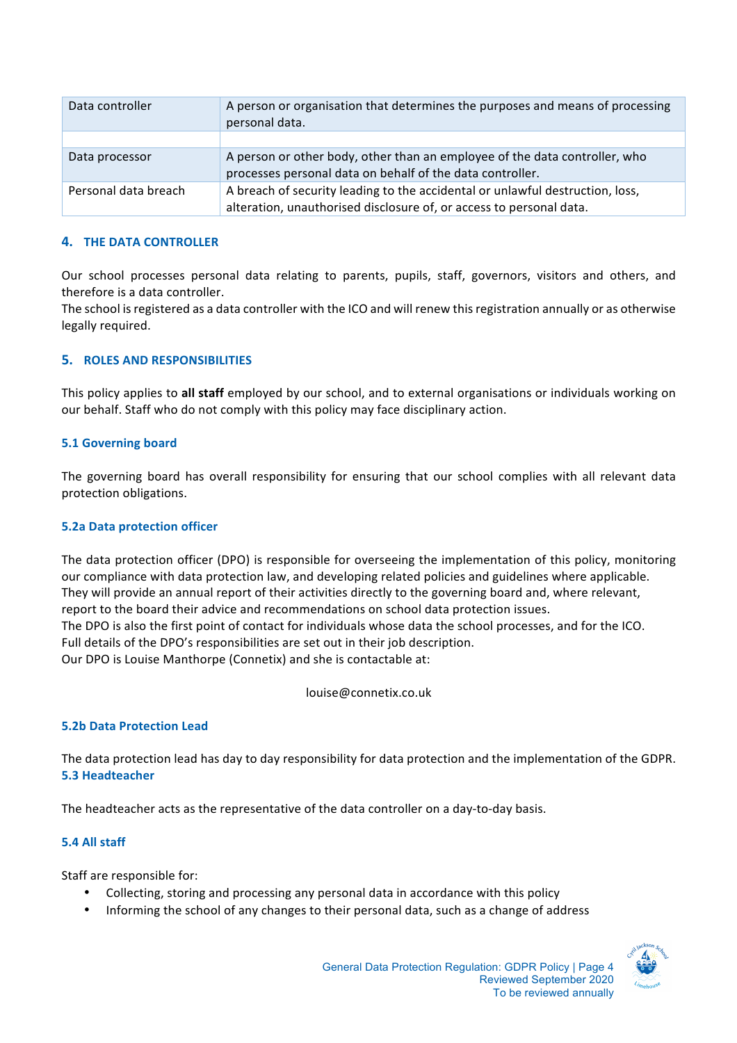| Data controller      | A person or organisation that determines the purposes and means of processing<br>personal data.                                                      |
|----------------------|------------------------------------------------------------------------------------------------------------------------------------------------------|
|                      |                                                                                                                                                      |
| Data processor       | A person or other body, other than an employee of the data controller, who<br>processes personal data on behalf of the data controller.              |
| Personal data breach | A breach of security leading to the accidental or unlawful destruction, loss,<br>alteration, unauthorised disclosure of, or access to personal data. |

### **4. THE DATA CONTROLLER**

Our school processes personal data relating to parents, pupils, staff, governors, visitors and others, and therefore is a data controller.

The school is registered as a data controller with the ICO and will renew this registration annually or as otherwise legally required.

### **5. ROLES AND RESPONSIBILITIES**

This policy applies to all staff employed by our school, and to external organisations or individuals working on our behalf. Staff who do not comply with this policy may face disciplinary action.

#### **5.1 Governing board**

The governing board has overall responsibility for ensuring that our school complies with all relevant data protection obligations.

#### **5.2a Data protection officer**

The data protection officer (DPO) is responsible for overseeing the implementation of this policy, monitoring our compliance with data protection law, and developing related policies and guidelines where applicable. They will provide an annual report of their activities directly to the governing board and, where relevant, report to the board their advice and recommendations on school data protection issues. The DPO is also the first point of contact for individuals whose data the school processes, and for the ICO. Full details of the DPO's responsibilities are set out in their job description. Our DPO is Louise Manthorpe (Connetix) and she is contactable at:

louise@connetix.co.uk

#### **5.2b Data Protection Lead**

The data protection lead has day to day responsibility for data protection and the implementation of the GDPR. **5.3 Headteacher**

The headteacher acts as the representative of the data controller on a day-to-day basis.

### **5.4 All staff**

Staff are responsible for:

- Collecting, storing and processing any personal data in accordance with this policy
- Informing the school of any changes to their personal data, such as a change of address

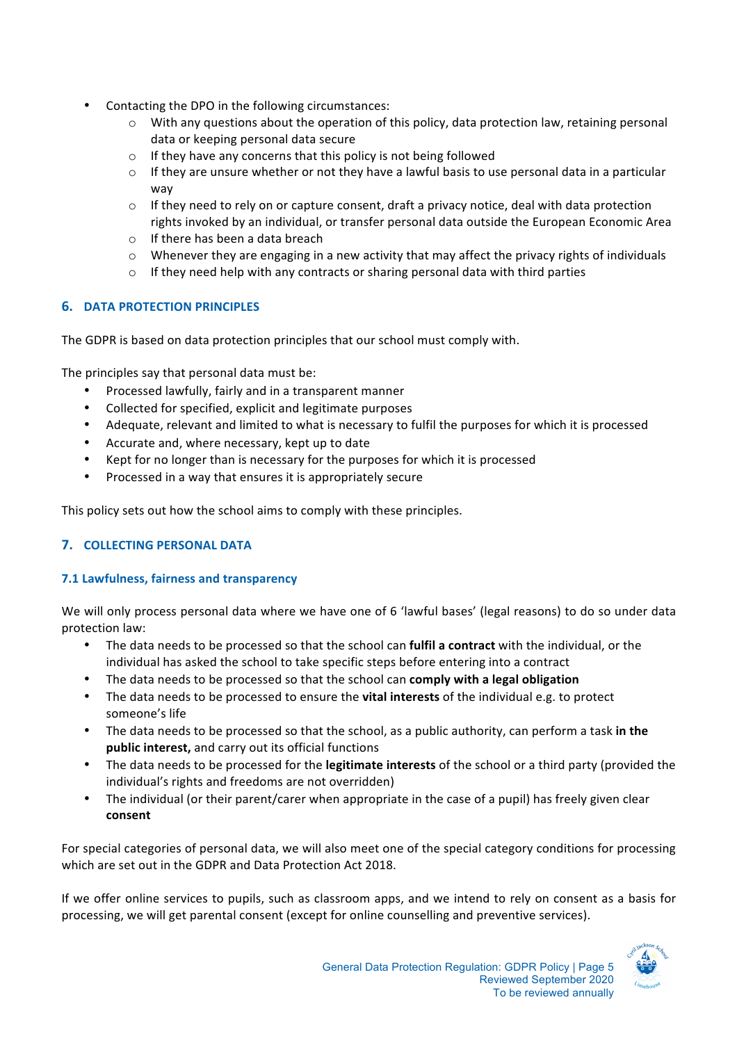- Contacting the DPO in the following circumstances:
	- $\circ$  With any questions about the operation of this policy, data protection law, retaining personal data or keeping personal data secure
	- $\circ$  If they have any concerns that this policy is not being followed
	- $\circ$  If they are unsure whether or not they have a lawful basis to use personal data in a particular way
	- $\circ$  If they need to rely on or capture consent, draft a privacy notice, deal with data protection rights invoked by an individual, or transfer personal data outside the European Economic Area
	- $\circ$  If there has been a data breach
	- $\circ$  Whenever they are engaging in a new activity that may affect the privacy rights of individuals
	- $\circ$  If they need help with any contracts or sharing personal data with third parties

### **6. DATA PROTECTION PRINCIPLES**

The GDPR is based on data protection principles that our school must comply with.

The principles say that personal data must be:

- Processed lawfully, fairly and in a transparent manner
- Collected for specified, explicit and legitimate purposes
- Adequate, relevant and limited to what is necessary to fulfil the purposes for which it is processed
- Accurate and, where necessary, kept up to date
- Kept for no longer than is necessary for the purposes for which it is processed
- Processed in a way that ensures it is appropriately secure

This policy sets out how the school aims to comply with these principles.

# **7. COLLECTING PERSONAL DATA**

### **7.1 Lawfulness, fairness and transparency**

We will only process personal data where we have one of 6 'lawful bases' (legal reasons) to do so under data protection law:

- The data needs to be processed so that the school can **fulfil a contract** with the individual, or the individual has asked the school to take specific steps before entering into a contract
- The data needs to be processed so that the school can **comply with a legal obligation**
- The data needs to be processed to ensure the **vital interests** of the individual e.g. to protect someone's life
- The data needs to be processed so that the school, as a public authority, can perform a task in the **public interest,** and carry out its official functions
- The data needs to be processed for the **legitimate interests** of the school or a third party (provided the individual's rights and freedoms are not overridden)
- The individual (or their parent/carer when appropriate in the case of a pupil) has freely given clear **consent**

For special categories of personal data, we will also meet one of the special category conditions for processing which are set out in the GDPR and Data Protection Act 2018.

If we offer online services to pupils, such as classroom apps, and we intend to rely on consent as a basis for processing, we will get parental consent (except for online counselling and preventive services).

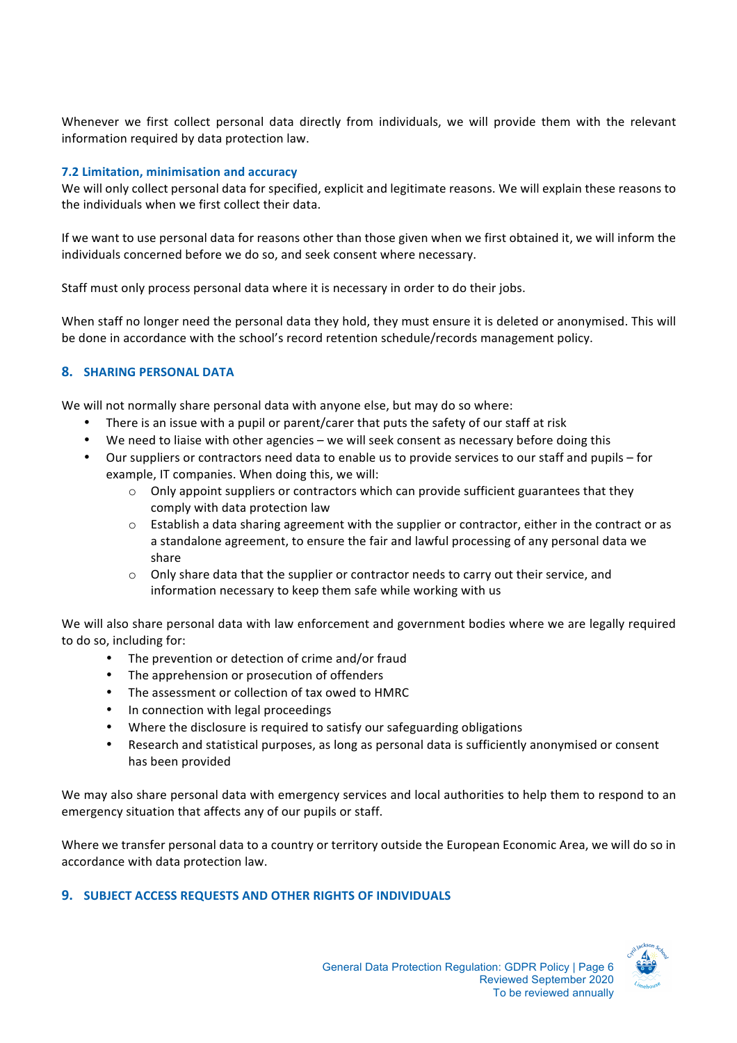Whenever we first collect personal data directly from individuals, we will provide them with the relevant information required by data protection law.

#### **7.2 Limitation, minimisation and accuracy**

We will only collect personal data for specified, explicit and legitimate reasons. We will explain these reasons to the individuals when we first collect their data.

If we want to use personal data for reasons other than those given when we first obtained it, we will inform the individuals concerned before we do so, and seek consent where necessary.

Staff must only process personal data where it is necessary in order to do their jobs.

When staff no longer need the personal data they hold, they must ensure it is deleted or anonymised. This will be done in accordance with the school's record retention schedule/records management policy.

### **8. SHARING PERSONAL DATA**

We will not normally share personal data with anyone else, but may do so where:

- There is an issue with a pupil or parent/carer that puts the safety of our staff at risk
- We need to liaise with other agencies we will seek consent as necessary before doing this
- Our suppliers or contractors need data to enable us to provide services to our staff and pupils for example, IT companies. When doing this, we will:
	- $\circ$  Only appoint suppliers or contractors which can provide sufficient guarantees that they comply with data protection law
	- $\circ$  Establish a data sharing agreement with the supplier or contractor, either in the contract or as a standalone agreement, to ensure the fair and lawful processing of any personal data we share
	- $\circ$  Only share data that the supplier or contractor needs to carry out their service, and information necessary to keep them safe while working with us

We will also share personal data with law enforcement and government bodies where we are legally required to do so, including for:

- The prevention or detection of crime and/or fraud
- The apprehension or prosecution of offenders
- The assessment or collection of tax owed to HMRC
- In connection with legal proceedings
- Where the disclosure is required to satisfy our safeguarding obligations
- Research and statistical purposes, as long as personal data is sufficiently anonymised or consent has been provided

We may also share personal data with emergency services and local authorities to help them to respond to an emergency situation that affects any of our pupils or staff.

Where we transfer personal data to a country or territory outside the European Economic Area, we will do so in accordance with data protection law.

### **9. SUBJECT ACCESS REQUESTS AND OTHER RIGHTS OF INDIVIDUALS**

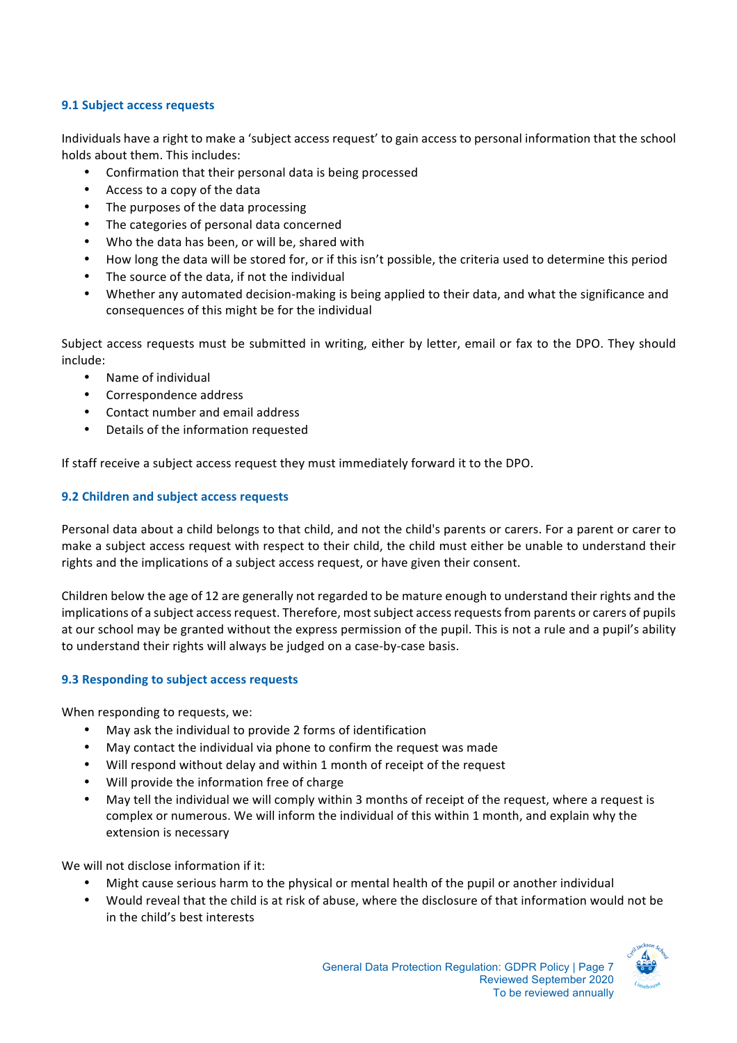### **9.1 Subject access requests**

Individuals have a right to make a 'subject access request' to gain access to personal information that the school holds about them. This includes:

- Confirmation that their personal data is being processed
- Access to a copy of the data
- The purposes of the data processing
- The categories of personal data concerned
- Who the data has been, or will be, shared with
- How long the data will be stored for, or if this isn't possible, the criteria used to determine this period
- The source of the data, if not the individual
- Whether any automated decision-making is being applied to their data, and what the significance and consequences of this might be for the individual

Subject access requests must be submitted in writing, either by letter, email or fax to the DPO. They should include:

- Name of individual
- Correspondence address
- Contact number and email address
- Details of the information requested

If staff receive a subject access request they must immediately forward it to the DPO.

### **9.2 Children and subject access requests**

Personal data about a child belongs to that child, and not the child's parents or carers. For a parent or carer to make a subject access request with respect to their child, the child must either be unable to understand their rights and the implications of a subject access request, or have given their consent.

Children below the age of 12 are generally not regarded to be mature enough to understand their rights and the implications of a subject access request. Therefore, most subject access requests from parents or carers of pupils at our school may be granted without the express permission of the pupil. This is not a rule and a pupil's ability to understand their rights will always be judged on a case-by-case basis.

### **9.3 Responding to subject access requests**

When responding to requests, we:

- May ask the individual to provide 2 forms of identification
- May contact the individual via phone to confirm the request was made
- Will respond without delay and within 1 month of receipt of the request
- Will provide the information free of charge
- May tell the individual we will comply within 3 months of receipt of the request, where a request is complex or numerous. We will inform the individual of this within 1 month, and explain why the extension is necessary

We will not disclose information if it:

- Might cause serious harm to the physical or mental health of the pupil or another individual
- Would reveal that the child is at risk of abuse, where the disclosure of that information would not be in the child's best interests

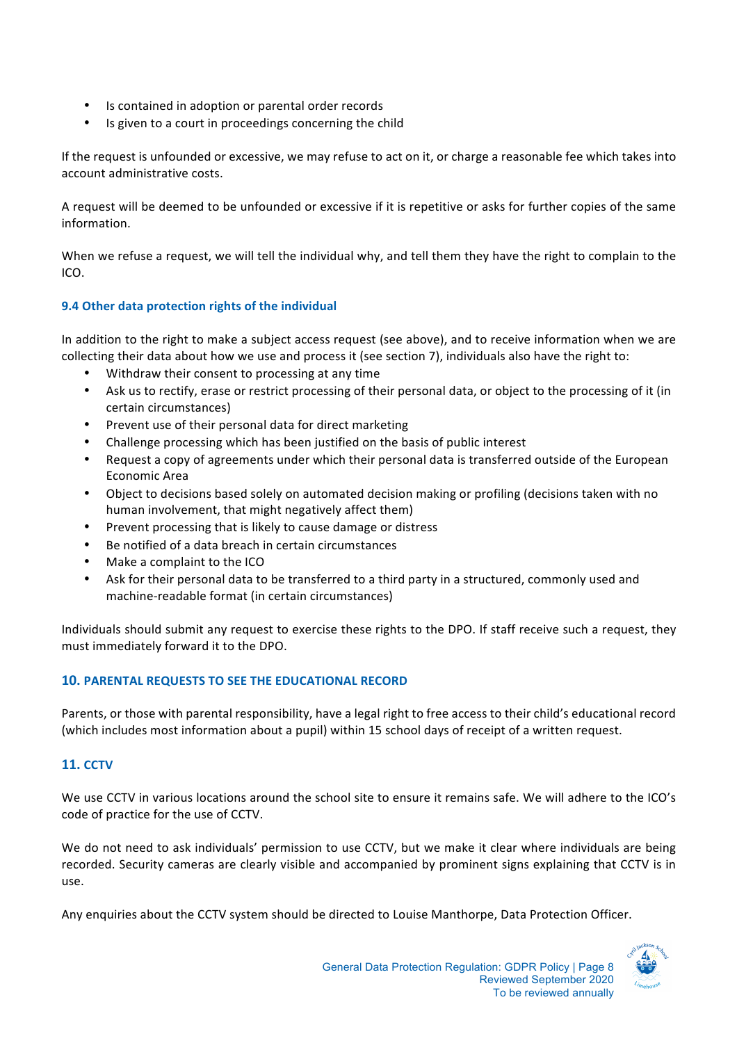- Is contained in adoption or parental order records
- Is given to a court in proceedings concerning the child

If the request is unfounded or excessive, we may refuse to act on it, or charge a reasonable fee which takes into account administrative costs.

A request will be deemed to be unfounded or excessive if it is repetitive or asks for further copies of the same information. 

When we refuse a request, we will tell the individual why, and tell them they have the right to complain to the ICO.

### **9.4 Other data protection rights of the individual**

In addition to the right to make a subject access request (see above), and to receive information when we are collecting their data about how we use and process it (see section 7), individuals also have the right to:

- Withdraw their consent to processing at any time
- Ask us to rectify, erase or restrict processing of their personal data, or object to the processing of it (in certain circumstances)
- Prevent use of their personal data for direct marketing
- Challenge processing which has been justified on the basis of public interest
- Request a copy of agreements under which their personal data is transferred outside of the European Economic Area
- Object to decisions based solely on automated decision making or profiling (decisions taken with no human involvement, that might negatively affect them)
- Prevent processing that is likely to cause damage or distress
- Be notified of a data breach in certain circumstances
- Make a complaint to the ICO
- Ask for their personal data to be transferred to a third party in a structured, commonly used and machine-readable format (in certain circumstances)

Individuals should submit any request to exercise these rights to the DPO. If staff receive such a request, they must immediately forward it to the DPO.

### **10. PARENTAL REQUESTS TO SEE THE EDUCATIONAL RECORD**

Parents, or those with parental responsibility, have a legal right to free access to their child's educational record (which includes most information about a pupil) within 15 school days of receipt of a written request.

# **11. CCTV**

We use CCTV in various locations around the school site to ensure it remains safe. We will adhere to the ICO's code of practice for the use of CCTV.

We do not need to ask individuals' permission to use CCTV, but we make it clear where individuals are being recorded. Security cameras are clearly visible and accompanied by prominent signs explaining that CCTV is in use.

Any enquiries about the CCTV system should be directed to Louise Manthorpe, Data Protection Officer.

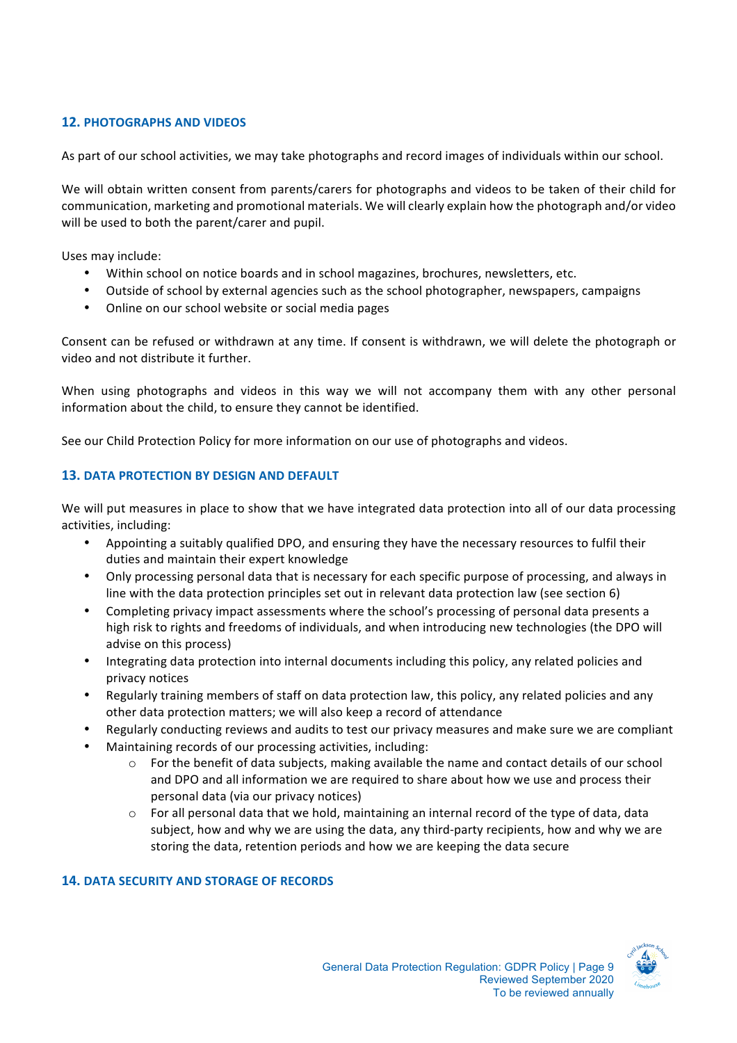# **12. PHOTOGRAPHS AND VIDEOS**

As part of our school activities, we may take photographs and record images of individuals within our school.

We will obtain written consent from parents/carers for photographs and videos to be taken of their child for communication, marketing and promotional materials. We will clearly explain how the photograph and/or video will be used to both the parent/carer and pupil.

Uses may include:

- Within school on notice boards and in school magazines, brochures, newsletters, etc.
- Outside of school by external agencies such as the school photographer, newspapers, campaigns
- Online on our school website or social media pages

Consent can be refused or withdrawn at any time. If consent is withdrawn, we will delete the photograph or video and not distribute it further.

When using photographs and videos in this way we will not accompany them with any other personal information about the child, to ensure they cannot be identified.

See our Child Protection Policy for more information on our use of photographs and videos.

# **13. DATA PROTECTION BY DESIGN AND DEFAULT**

We will put measures in place to show that we have integrated data protection into all of our data processing activities, including:

- Appointing a suitably qualified DPO, and ensuring they have the necessary resources to fulfil their duties and maintain their expert knowledge
- Only processing personal data that is necessary for each specific purpose of processing, and always in line with the data protection principles set out in relevant data protection law (see section 6)
- Completing privacy impact assessments where the school's processing of personal data presents a high risk to rights and freedoms of individuals, and when introducing new technologies (the DPO will advise on this process)
- Integrating data protection into internal documents including this policy, any related policies and privacy notices
- Regularly training members of staff on data protection law, this policy, any related policies and any other data protection matters; we will also keep a record of attendance
- Regularly conducting reviews and audits to test our privacy measures and make sure we are compliant
- Maintaining records of our processing activities, including:
	- $\circ$  For the benefit of data subjects, making available the name and contact details of our school and DPO and all information we are required to share about how we use and process their personal data (via our privacy notices)
	- $\circ$  For all personal data that we hold, maintaining an internal record of the type of data, data subject, how and why we are using the data, any third-party recipients, how and why we are storing the data, retention periods and how we are keeping the data secure

# **14. DATA SECURITY AND STORAGE OF RECORDS**

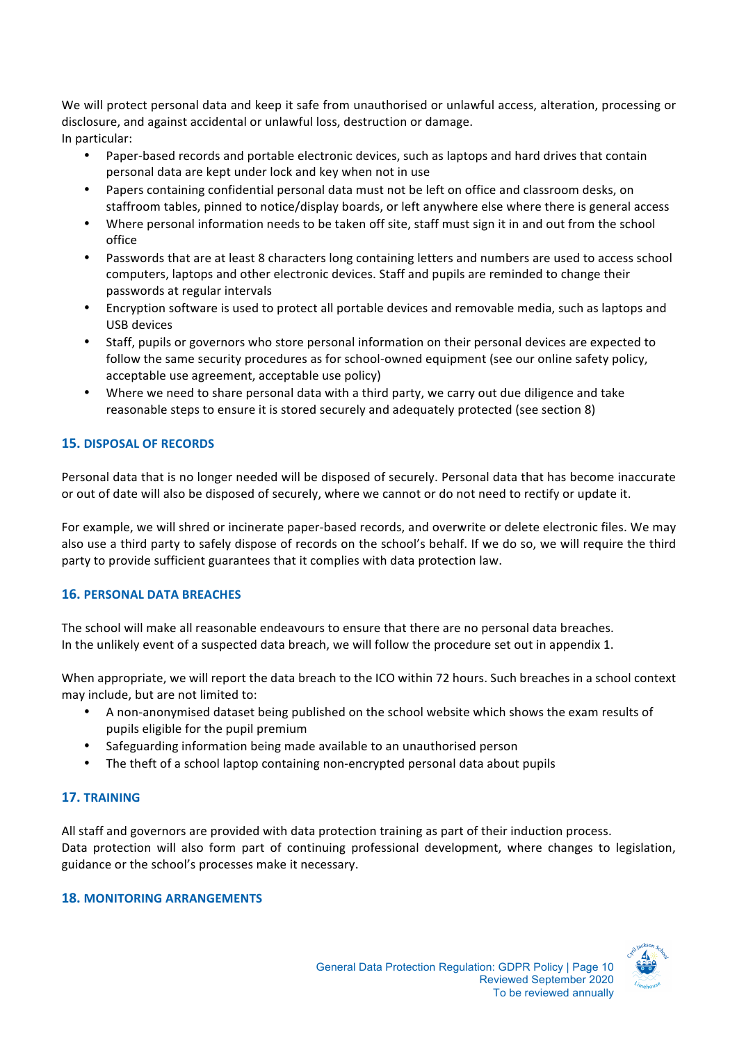We will protect personal data and keep it safe from unauthorised or unlawful access, alteration, processing or disclosure, and against accidental or unlawful loss, destruction or damage. In particular:

- Paper-based records and portable electronic devices, such as laptops and hard drives that contain personal data are kept under lock and key when not in use
- Papers containing confidential personal data must not be left on office and classroom desks, on staffroom tables, pinned to notice/display boards, or left anywhere else where there is general access
- Where personal information needs to be taken off site, staff must sign it in and out from the school office
- Passwords that are at least 8 characters long containing letters and numbers are used to access school computers, laptops and other electronic devices. Staff and pupils are reminded to change their passwords at regular intervals
- Encryption software is used to protect all portable devices and removable media, such as laptops and USB devices
- Staff, pupils or governors who store personal information on their personal devices are expected to follow the same security procedures as for school-owned equipment (see our online safety policy, acceptable use agreement, acceptable use policy)
- Where we need to share personal data with a third party, we carry out due diligence and take reasonable steps to ensure it is stored securely and adequately protected (see section 8)

### **15. DISPOSAL OF RECORDS**

Personal data that is no longer needed will be disposed of securely. Personal data that has become inaccurate or out of date will also be disposed of securely, where we cannot or do not need to rectify or update it.

For example, we will shred or incinerate paper-based records, and overwrite or delete electronic files. We may also use a third party to safely dispose of records on the school's behalf. If we do so, we will require the third party to provide sufficient guarantees that it complies with data protection law.

#### **16. PERSONAL DATA BREACHES**

The school will make all reasonable endeavours to ensure that there are no personal data breaches. In the unlikely event of a suspected data breach, we will follow the procedure set out in appendix 1.

When appropriate, we will report the data breach to the ICO within 72 hours. Such breaches in a school context may include, but are not limited to:

- A non-anonymised dataset being published on the school website which shows the exam results of pupils eligible for the pupil premium
- Safeguarding information being made available to an unauthorised person
- The theft of a school laptop containing non-encrypted personal data about pupils

### **17. TRAINING**

All staff and governors are provided with data protection training as part of their induction process. Data protection will also form part of continuing professional development, where changes to legislation, guidance or the school's processes make it necessary.

#### **18. MONITORING ARRANGEMENTS**

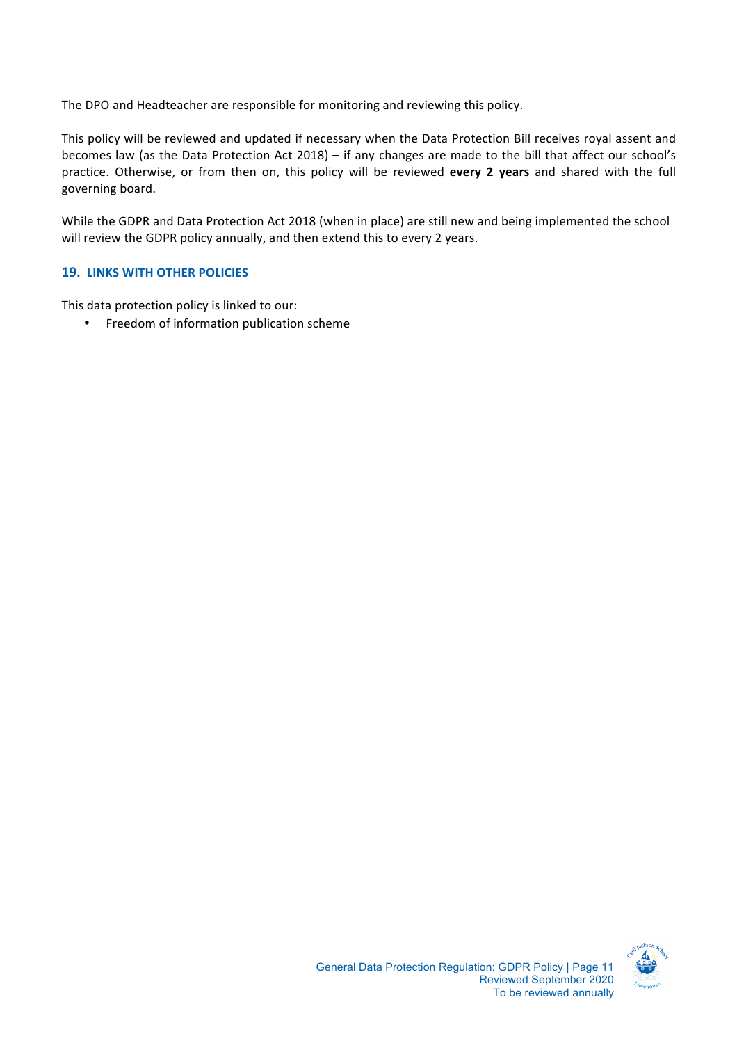The DPO and Headteacher are responsible for monitoring and reviewing this policy.

This policy will be reviewed and updated if necessary when the Data Protection Bill receives royal assent and becomes law (as the Data Protection Act 2018) – if any changes are made to the bill that affect our school's practice. Otherwise, or from then on, this policy will be reviewed **every 2 years** and shared with the full governing board.

While the GDPR and Data Protection Act 2018 (when in place) are still new and being implemented the school will review the GDPR policy annually, and then extend this to every 2 years.

#### **19. LINKS WITH OTHER POLICIES**

This data protection policy is linked to our:

• Freedom of information publication scheme

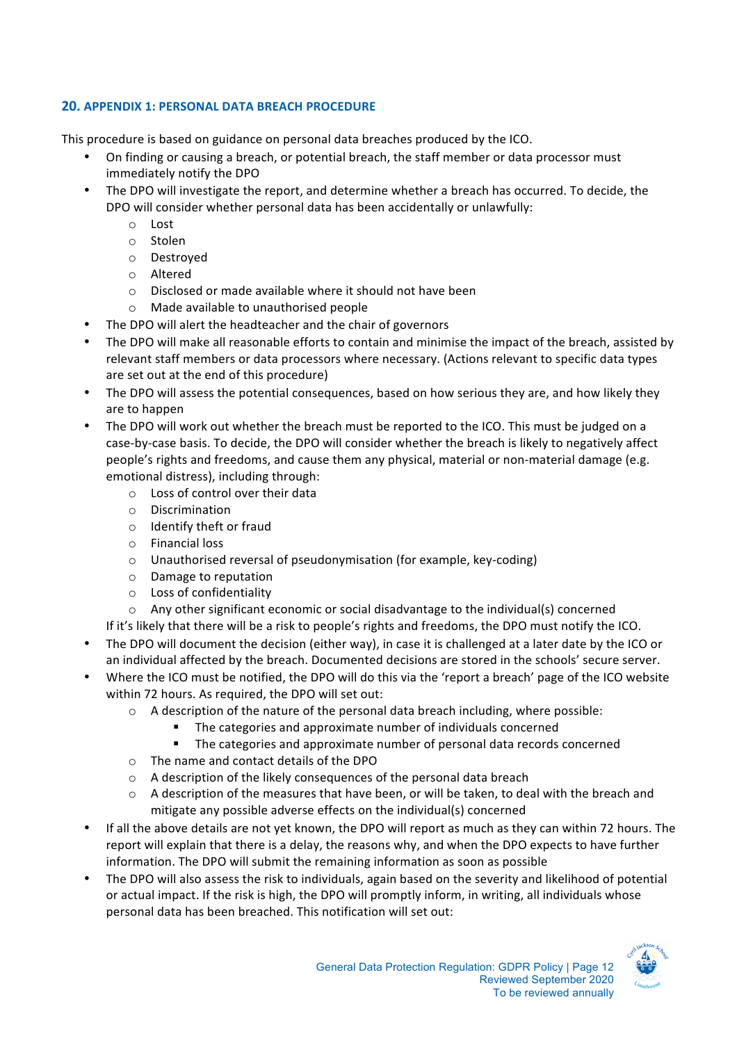## **20. APPENDIX 1: PERSONAL DATA BREACH PROCEDURE**

This procedure is based on guidance on personal data breaches produced by the ICO.

- On finding or causing a breach, or potential breach, the staff member or data processor must immediately notify the DPO
- The DPO will investigate the report, and determine whether a breach has occurred. To decide, the DPO will consider whether personal data has been accidentally or unlawfully:
	- o Lost
	- o Stolen
	- o Destroyed
	- o Altered
	- $\circ$  Disclosed or made available where it should not have been
	- $\circ$  Made available to unauthorised people
- The DPO will alert the headteacher and the chair of governors
- The DPO will make all reasonable efforts to contain and minimise the impact of the breach, assisted by relevant staff members or data processors where necessary. (Actions relevant to specific data types are set out at the end of this procedure)
- The DPO will assess the potential consequences, based on how serious they are, and how likely they are to happen
- The DPO will work out whether the breach must be reported to the ICO. This must be judged on a case-by-case basis. To decide, the DPO will consider whether the breach is likely to negatively affect people's rights and freedoms, and cause them any physical, material or non-material damage (e.g. emotional distress), including through:
	- $\circ$  Loss of control over their data
	- o Discrimination
	- $\circ$  Identify theft or fraud
	- $\circ$  Financial loss
	- $\circ$  Unauthorised reversal of pseudonymisation (for example, key-coding)
	- o Damage to reputation
	- $\circ$  Loss of confidentiality
	- $\circ$  Any other significant economic or social disadvantage to the individual(s) concerned
	- If it's likely that there will be a risk to people's rights and freedoms, the DPO must notify the ICO.
- The DPO will document the decision (either way), in case it is challenged at a later date by the ICO or an individual affected by the breach. Documented decisions are stored in the schools' secure server.
- Where the ICO must be notified, the DPO will do this via the 'report a breach' page of the ICO website within 72 hours. As required, the DPO will set out:
	- $\circ$  A description of the nature of the personal data breach including, where possible:
		- The categories and approximate number of individuals concerned
		- The categories and approximate number of personal data records concerned
	- $\circ$  The name and contact details of the DPO
	- $\circ$  A description of the likely consequences of the personal data breach
	- $\circ$  A description of the measures that have been, or will be taken, to deal with the breach and mitigate any possible adverse effects on the individual(s) concerned
- If all the above details are not yet known, the DPO will report as much as they can within 72 hours. The report will explain that there is a delay, the reasons why, and when the DPO expects to have further information. The DPO will submit the remaining information as soon as possible
- The DPO will also assess the risk to individuals, again based on the severity and likelihood of potential or actual impact. If the risk is high, the DPO will promptly inform, in writing, all individuals whose personal data has been breached. This notification will set out: